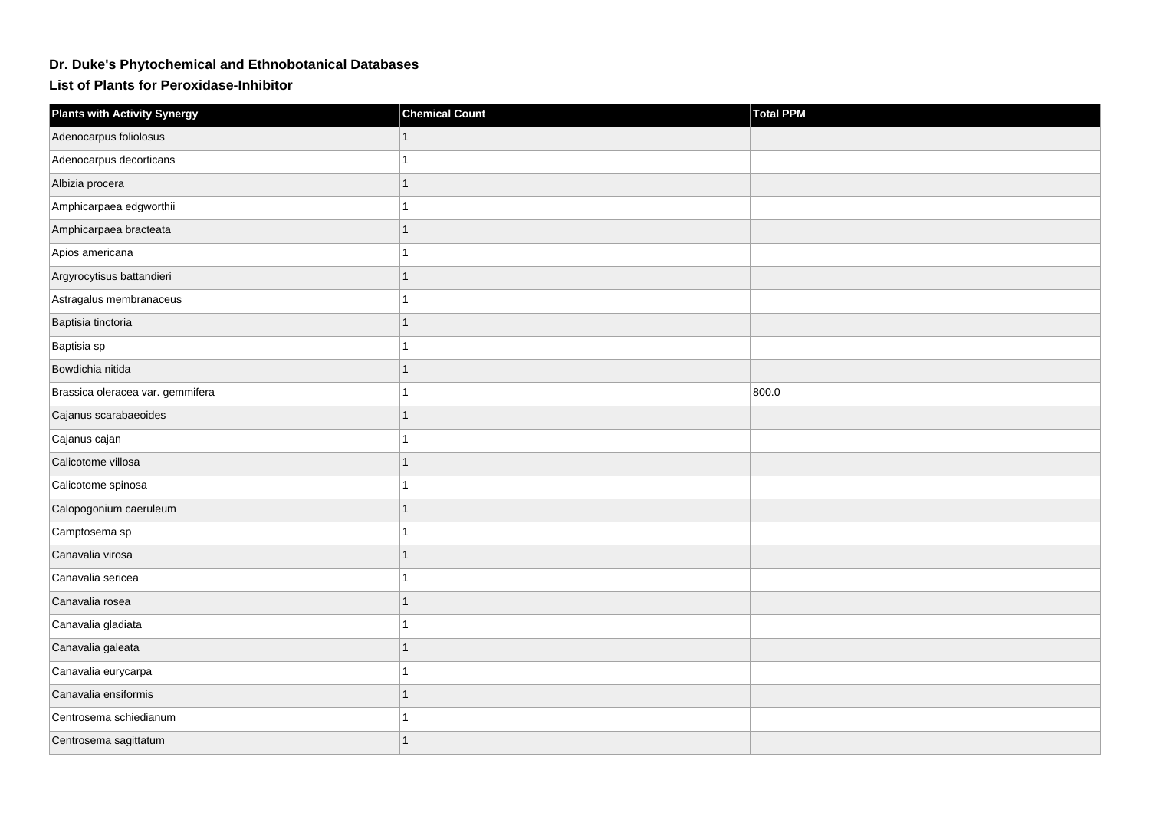## **Dr. Duke's Phytochemical and Ethnobotanical Databases**

**List of Plants for Peroxidase-Inhibitor**

| <b>Plants with Activity Synergy</b> | <b>Chemical Count</b> | <b>Total PPM</b> |
|-------------------------------------|-----------------------|------------------|
| Adenocarpus foliolosus              |                       |                  |
| Adenocarpus decorticans             |                       |                  |
| Albizia procera                     |                       |                  |
| Amphicarpaea edgworthii             |                       |                  |
| Amphicarpaea bracteata              |                       |                  |
| Apios americana                     |                       |                  |
| Argyrocytisus battandieri           |                       |                  |
| Astragalus membranaceus             |                       |                  |
| Baptisia tinctoria                  |                       |                  |
| Baptisia sp                         |                       |                  |
| Bowdichia nitida                    |                       |                  |
| Brassica oleracea var. gemmifera    |                       | 800.0            |
| Cajanus scarabaeoides               |                       |                  |
| Cajanus cajan                       |                       |                  |
| Calicotome villosa                  |                       |                  |
| Calicotome spinosa                  |                       |                  |
| Calopogonium caeruleum              |                       |                  |
| Camptosema sp                       |                       |                  |
| Canavalia virosa                    |                       |                  |
| Canavalia sericea                   |                       |                  |
| Canavalia rosea                     |                       |                  |
| Canavalia gladiata                  |                       |                  |
| Canavalia galeata                   |                       |                  |
| Canavalia eurycarpa                 |                       |                  |
| Canavalia ensiformis                |                       |                  |
| Centrosema schiedianum              |                       |                  |
| Centrosema sagittatum               |                       |                  |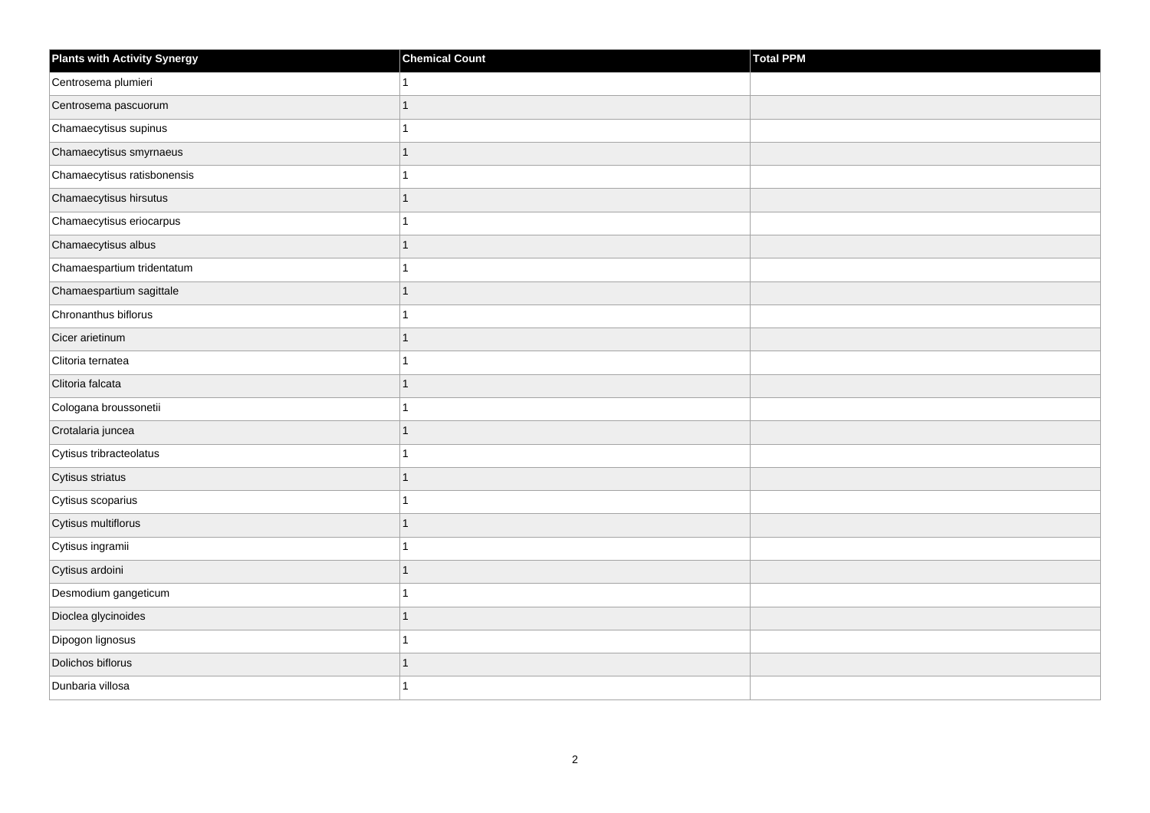| <b>Plants with Activity Synergy</b> | <b>Chemical Count</b> | Total PPM |
|-------------------------------------|-----------------------|-----------|
| Centrosema plumieri                 |                       |           |
| Centrosema pascuorum                |                       |           |
| Chamaecytisus supinus               |                       |           |
| Chamaecytisus smyrnaeus             | 1                     |           |
| Chamaecytisus ratisbonensis         |                       |           |
| Chamaecytisus hirsutus              |                       |           |
| Chamaecytisus eriocarpus            |                       |           |
| Chamaecytisus albus                 | 1                     |           |
| Chamaespartium tridentatum          |                       |           |
| Chamaespartium sagittale            | 1                     |           |
| Chronanthus biflorus                |                       |           |
| Cicer arietinum                     |                       |           |
| Clitoria ternatea                   |                       |           |
| Clitoria falcata                    | 1                     |           |
| Cologana broussonetii               |                       |           |
| Crotalaria juncea                   | 1                     |           |
| Cytisus tribracteolatus             |                       |           |
| Cytisus striatus                    |                       |           |
| Cytisus scoparius                   |                       |           |
| Cytisus multiflorus                 |                       |           |
| Cytisus ingramii                    |                       |           |
| Cytisus ardoini                     | 1                     |           |
| Desmodium gangeticum                |                       |           |
| Dioclea glycinoides                 |                       |           |
| Dipogon lignosus                    |                       |           |
| Dolichos biflorus                   |                       |           |
| Dunbaria villosa                    |                       |           |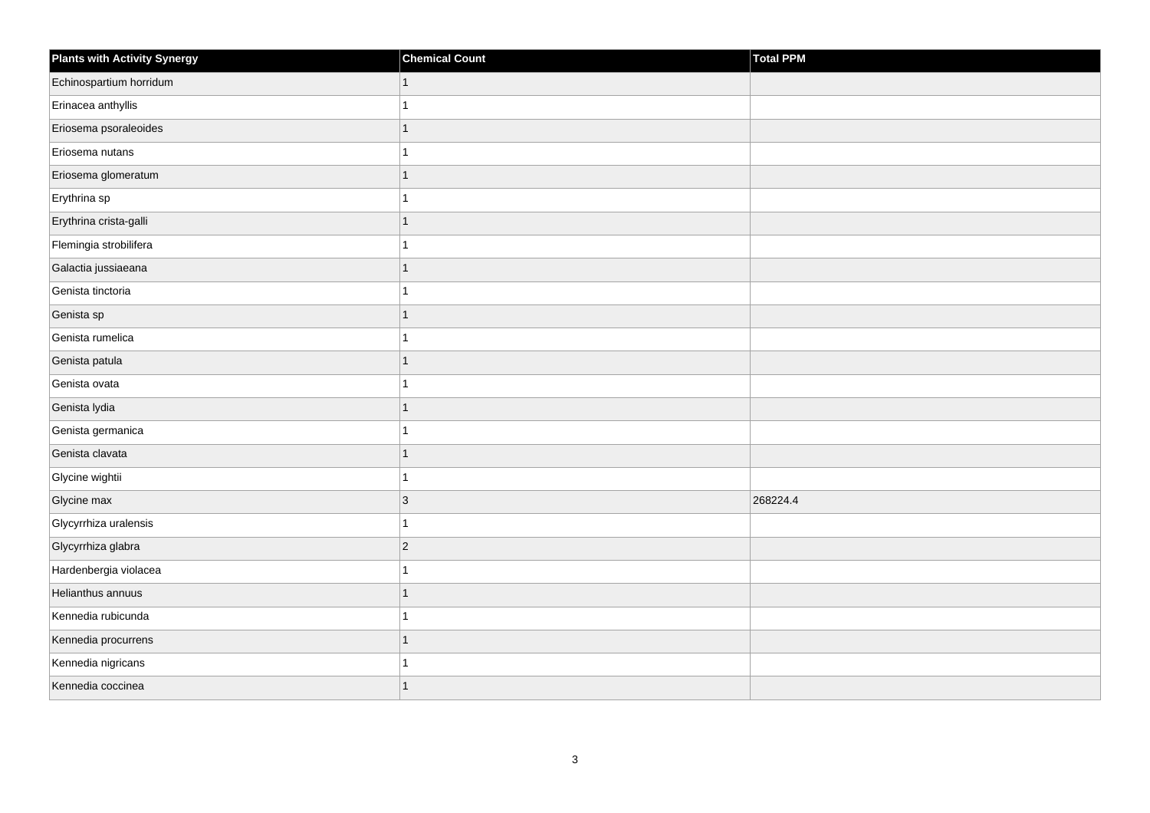| <b>Plants with Activity Synergy</b> | <b>Chemical Count</b> | Total PPM |
|-------------------------------------|-----------------------|-----------|
| Echinospartium horridum             |                       |           |
| Erinacea anthyllis                  |                       |           |
| Eriosema psoraleoides               |                       |           |
| Eriosema nutans                     |                       |           |
| Eriosema glomeratum                 | 1                     |           |
| Erythrina sp                        |                       |           |
| Erythrina crista-galli              | 1                     |           |
| Flemingia strobilifera              |                       |           |
| Galactia jussiaeana                 |                       |           |
| Genista tinctoria                   |                       |           |
| Genista sp                          | 1                     |           |
| Genista rumelica                    |                       |           |
| Genista patula                      | 1                     |           |
| Genista ovata                       |                       |           |
| Genista lydia                       |                       |           |
| Genista germanica                   |                       |           |
| Genista clavata                     |                       |           |
| Glycine wightii                     |                       |           |
| Glycine max                         | 3                     | 268224.4  |
| Glycyrrhiza uralensis               |                       |           |
| Glycyrrhiza glabra                  | $\overline{c}$        |           |
| Hardenbergia violacea               |                       |           |
| Helianthus annuus                   |                       |           |
| Kennedia rubicunda                  |                       |           |
| Kennedia procurrens                 | 1                     |           |
| Kennedia nigricans                  |                       |           |
| Kennedia coccinea                   | 1                     |           |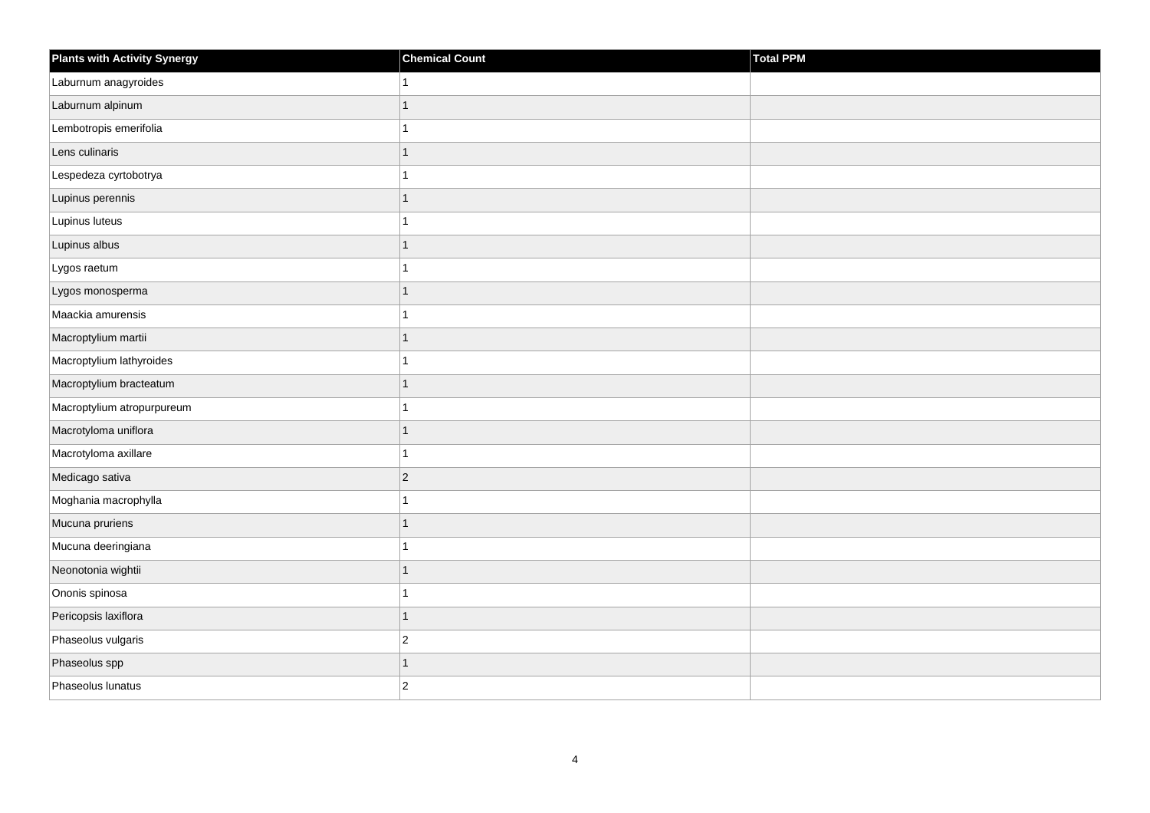| <b>Plants with Activity Synergy</b> | <b>Chemical Count</b> | Total PPM |
|-------------------------------------|-----------------------|-----------|
| Laburnum anagyroides                |                       |           |
| Laburnum alpinum                    | 1                     |           |
| Lembotropis emerifolia              |                       |           |
| Lens culinaris                      | 1                     |           |
| Lespedeza cyrtobotrya               |                       |           |
| Lupinus perennis                    |                       |           |
| Lupinus luteus                      |                       |           |
| Lupinus albus                       | 1                     |           |
| Lygos raetum                        |                       |           |
| Lygos monosperma                    | 1                     |           |
| Maackia amurensis                   |                       |           |
| Macroptylium martii                 |                       |           |
| Macroptylium lathyroides            | 1                     |           |
| Macroptylium bracteatum             | 1                     |           |
| Macroptylium atropurpureum          |                       |           |
| Macrotyloma uniflora                | 1                     |           |
| Macrotyloma axillare                |                       |           |
| Medicago sativa                     | $\overline{2}$        |           |
| Moghania macrophylla                | 1                     |           |
| Mucuna pruriens                     | 1                     |           |
| Mucuna deeringiana                  |                       |           |
| Neonotonia wightii                  | 1                     |           |
| Ononis spinosa                      |                       |           |
| Pericopsis laxiflora                | 1                     |           |
| Phaseolus vulgaris                  | $\overline{c}$        |           |
| Phaseolus spp                       | 1                     |           |
| Phaseolus lunatus                   | $\overline{2}$        |           |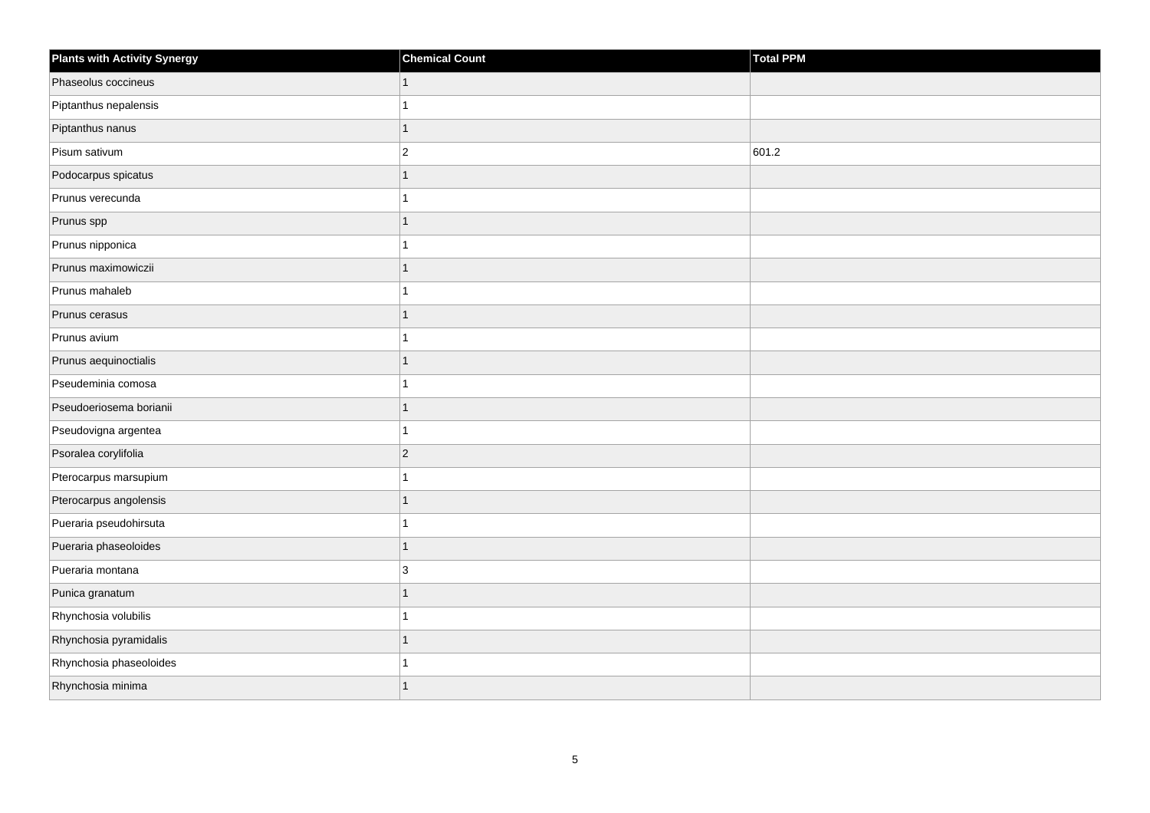| <b>Plants with Activity Synergy</b> | <b>Chemical Count</b> | Total PPM |
|-------------------------------------|-----------------------|-----------|
| Phaseolus coccineus                 | $\mathbf{1}$          |           |
| Piptanthus nepalensis               | 1                     |           |
| Piptanthus nanus                    | $\overline{1}$        |           |
| Pisum sativum                       | $\overline{2}$        | 601.2     |
| Podocarpus spicatus                 | $\overline{1}$        |           |
| Prunus verecunda                    | 1                     |           |
| Prunus spp                          | $\overline{1}$        |           |
| Prunus nipponica                    | 1                     |           |
| Prunus maximowiczii                 | $\overline{1}$        |           |
| Prunus mahaleb                      | 1                     |           |
| Prunus cerasus                      | $\overline{1}$        |           |
| Prunus avium                        | 1                     |           |
| Prunus aequinoctialis               | $\overline{1}$        |           |
| Pseudeminia comosa                  | 1                     |           |
| Pseudoeriosema borianii             | $\overline{1}$        |           |
| Pseudovigna argentea                | 1                     |           |
| Psoralea corylifolia                | $\overline{c}$        |           |
| Pterocarpus marsupium               | 1                     |           |
| Pterocarpus angolensis              | $\overline{1}$        |           |
| Pueraria pseudohirsuta              | 1                     |           |
| Pueraria phaseoloides               | $\overline{1}$        |           |
| Pueraria montana                    | 3                     |           |
| Punica granatum                     | $\overline{1}$        |           |
| Rhynchosia volubilis                |                       |           |
| Rhynchosia pyramidalis              | $\overline{1}$        |           |
| Rhynchosia phaseoloides             |                       |           |
| Rhynchosia minima                   | $\overline{1}$        |           |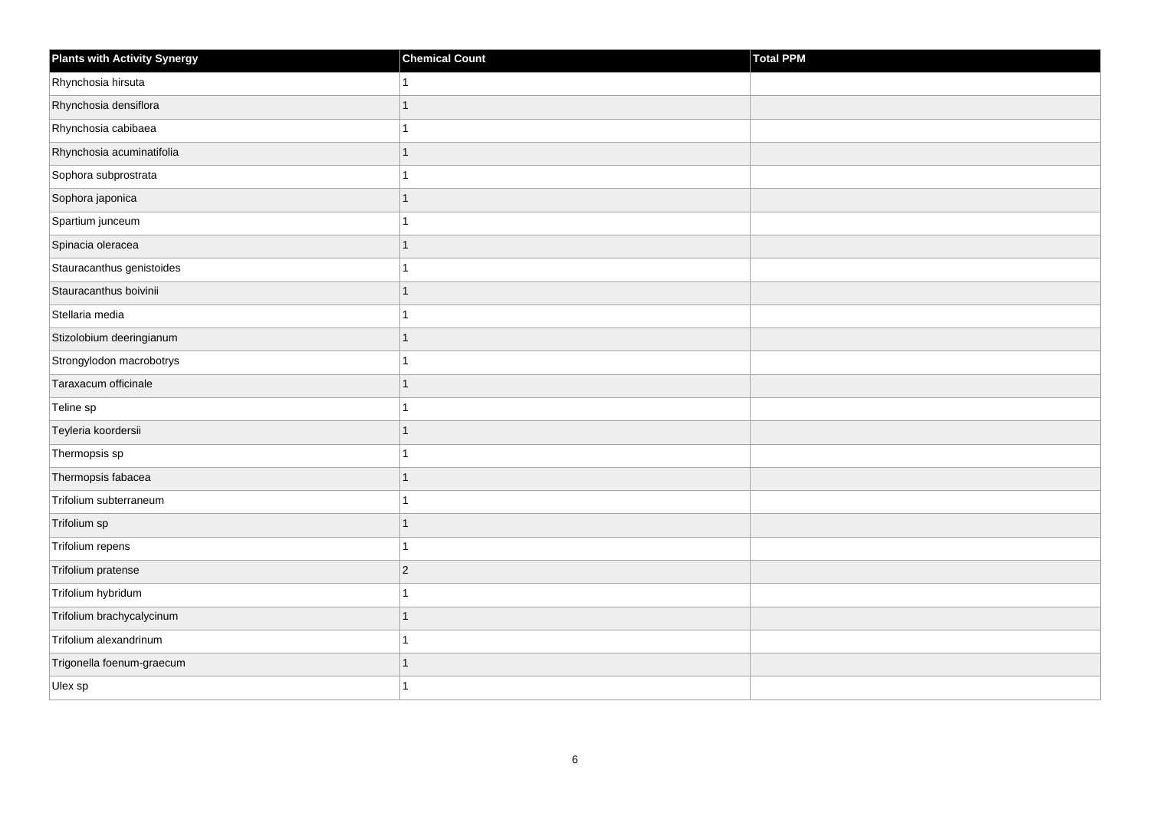| <b>Plants with Activity Synergy</b> | <b>Chemical Count</b>    | <b>Total PPM</b> |
|-------------------------------------|--------------------------|------------------|
| Rhynchosia hirsuta                  | 1                        |                  |
| Rhynchosia densiflora               | $\overline{1}$           |                  |
| Rhynchosia cabibaea                 | 1                        |                  |
| Rhynchosia acuminatifolia           | $\overline{1}$           |                  |
| Sophora subprostrata                | 1                        |                  |
| Sophora japonica                    | 1                        |                  |
| Spartium junceum                    | 1                        |                  |
| Spinacia oleracea                   | 1                        |                  |
| Stauracanthus genistoides           | 1                        |                  |
| Stauracanthus boivinii              | $\overline{1}$           |                  |
| Stellaria media                     | 1                        |                  |
| Stizolobium deeringianum            | $\overline{1}$           |                  |
| Strongylodon macrobotrys            | $\overline{1}$           |                  |
| Taraxacum officinale                | $\overline{1}$           |                  |
| Teline sp                           |                          |                  |
| Teyleria koordersii                 | $\mathbf{1}$             |                  |
| Thermopsis sp                       |                          |                  |
| Thermopsis fabacea                  | $\overline{1}$           |                  |
| Trifolium subterraneum              | $\overline{1}$           |                  |
| Trifolium sp                        | 1                        |                  |
| Trifolium repens                    | $\overline{\phantom{a}}$ |                  |
| Trifolium pratense                  | $\overline{c}$           |                  |
| Trifolium hybridum                  | 1                        |                  |
| Trifolium brachycalycinum           | 1                        |                  |
| Trifolium alexandrinum              | 1                        |                  |
| Trigonella foenum-graecum           | 1                        |                  |
| Ulex sp                             | 1                        |                  |